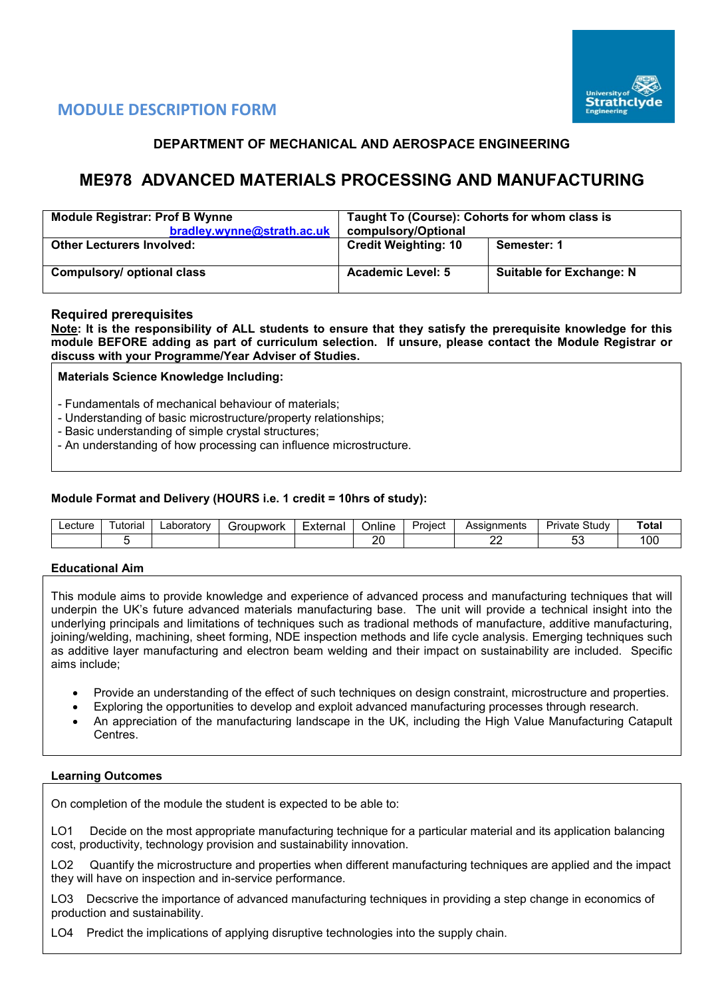

# **MODULE DESCRIPTION FORM**

# **DEPARTMENT OF MECHANICAL AND AEROSPACE ENGINEERING**

# **ME978 ADVANCED MATERIALS PROCESSING AND MANUFACTURING**

| <b>Module Registrar: Prof B Wynne</b><br>bradley.wynne@strath.ac.uk | Taught To (Course): Cohorts for whom class is<br>compulsory/Optional |                                 |  |  |  |  |
|---------------------------------------------------------------------|----------------------------------------------------------------------|---------------------------------|--|--|--|--|
| <b>Other Lecturers Involved:</b>                                    | <b>Credit Weighting: 10</b>                                          | Semester: 1                     |  |  |  |  |
|                                                                     |                                                                      |                                 |  |  |  |  |
| Compulsory/ optional class                                          | <b>Academic Level: 5</b>                                             | <b>Suitable for Exchange: N</b> |  |  |  |  |

# **Required prerequisites**

**Note: It is the responsibility of ALL students to ensure that they satisfy the prerequisite knowledge for this module BEFORE adding as part of curriculum selection. If unsure, please contact the Module Registrar or discuss with your Programme/Year Adviser of Studies.** 

**Materials Science Knowledge Including:**

- Fundamentals of mechanical behaviour of materials;

- Understanding of basic microstructure/property relationships;
- Basic understanding of simple crystal structures;
- An understanding of how processing can influence microstructure.

#### **Module Format and Delivery (HOURS i.e. 1 credit = 10hrs of study):**

| _ecture | utorial | _aboratorv | <del>i</del> roupwork | -<br>External | <br><b>Jnline</b> | Proiect | Assignments<br>دت 7 | Study<br>— Ur∾<br>'ivate | otal |
|---------|---------|------------|-----------------------|---------------|-------------------|---------|---------------------|--------------------------|------|
|         |         |            |                       |               | -                 |         | o<br>--             | - -<br>ື                 | 00   |

#### **Educational Aim**

This module aims to provide knowledge and experience of advanced process and manufacturing techniques that will underpin the UK's future advanced materials manufacturing base. The unit will provide a technical insight into the underlying principals and limitations of techniques such as tradional methods of manufacture, additive manufacturing, joining/welding, machining, sheet forming, NDE inspection methods and life cycle analysis. Emerging techniques such as additive layer manufacturing and electron beam welding and their impact on sustainability are included. Specific aims include;

- Provide an understanding of the effect of such techniques on design constraint, microstructure and properties.
- Exploring the opportunities to develop and exploit advanced manufacturing processes through research.
- An appreciation of the manufacturing landscape in the UK, including the High Value Manufacturing Catapult Centres.

#### **Learning Outcomes**

On completion of the module the student is expected to be able to:

LO1 Decide on the most appropriate manufacturing technique for a particular material and its application balancing cost, productivity, technology provision and sustainability innovation.

LO2 Quantify the microstructure and properties when different manufacturing techniques are applied and the impact they will have on inspection and in-service performance.

LO3 Decscrive the importance of advanced manufacturing techniques in providing a step change in economics of production and sustainability.

LO4 Predict the implications of applying disruptive technologies into the supply chain.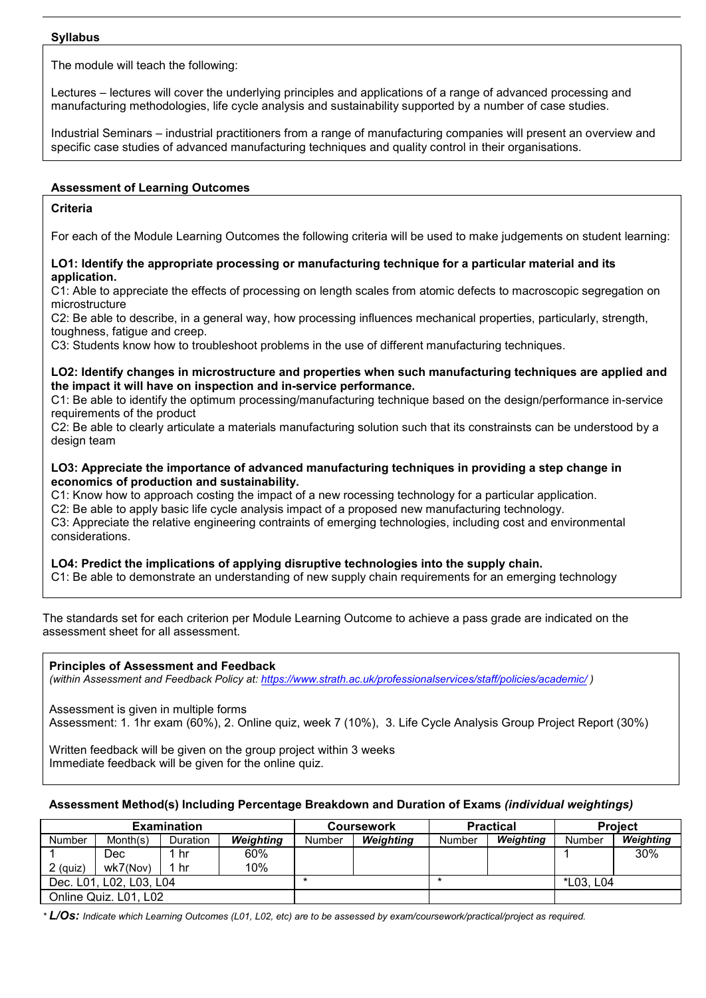#### **Syllabus**

The module will teach the following:

Lectures – lectures will cover the underlying principles and applications of a range of advanced processing and manufacturing methodologies, life cycle analysis and sustainability supported by a number of case studies.

Industrial Seminars – industrial practitioners from a range of manufacturing companies will present an overview and specific case studies of advanced manufacturing techniques and quality control in their organisations.

### **Assessment of Learning Outcomes**

# **Criteria**

For each of the Module Learning Outcomes the following criteria will be used to make judgements on student learning:

#### **LO1: Identify the appropriate processing or manufacturing technique for a particular material and its application.**

C1: Able to appreciate the effects of processing on length scales from atomic defects to macroscopic segregation on microstructure

C2: Be able to describe, in a general way, how processing influences mechanical properties, particularly, strength, toughness, fatigue and creep.

C3: Students know how to troubleshoot problems in the use of different manufacturing techniques.

#### **LO2: Identify changes in microstructure and properties when such manufacturing techniques are applied and the impact it will have on inspection and in-service performance.**

C1: Be able to identify the optimum processing/manufacturing technique based on the design/performance in-service requirements of the product

C2: Be able to clearly articulate a materials manufacturing solution such that its constrainsts can be understood by a design team

### **LO3: Appreciate the importance of advanced manufacturing techniques in providing a step change in economics of production and sustainability.**

C1: Know how to approach costing the impact of a new rocessing technology for a particular application.

C2: Be able to apply basic life cycle analysis impact of a proposed new manufacturing technology.

C3: Appreciate the relative engineering contraints of emerging technologies, including cost and environmental considerations.

# **LO4: Predict the implications of applying disruptive technologies into the supply chain.**

C1: Be able to demonstrate an understanding of new supply chain requirements for an emerging technology

The standards set for each criterion per Module Learning Outcome to achieve a pass grade are indicated on the assessment sheet for all assessment.

**Principles of Assessment and Feedback**

*(within Assessment and Feedback Policy at: <https://www.strath.ac.uk/professionalservices/staff/policies/academic/> )*

Assessment is given in multiple forms

Assessment: 1. 1hr exam (60%), 2. Online quiz, week 7 (10%), 3. Life Cycle Analysis Group Project Report (30%)

Written feedback will be given on the group project within 3 weeks Immediate feedback will be given for the online quiz.

# **Assessment Method(s) Including Percentage Breakdown and Duration of Exams** *(individual weightings)*

| <b>Examination</b>      |          |                 |                  |                            | Coursework |        | <b>Practical</b> | <b>Project</b> |           |
|-------------------------|----------|-----------------|------------------|----------------------------|------------|--------|------------------|----------------|-----------|
| <b>Number</b>           | Month(s) | <b>Duration</b> | <b>Weighting</b> | <b>Weighting</b><br>Number |            | Number | Weighting        | <b>Number</b>  | Weighting |
|                         | Dec      | ı hr            | 60%              |                            |            |        |                  |                | 30%       |
| $2$ (quiz)              | wk7(Nov) | 1 hr            | 10%              |                            |            |        |                  |                |           |
| Dec. L01, L02, L03, L04 |          |                 |                  |                            |            | *      |                  | *L03, L04      |           |
| Online Quiz. L01, L02   |          |                 |                  |                            |            |        |                  |                |           |

*\* L/Os: Indicate which Learning Outcomes (L01, L02, etc) are to be assessed by exam/coursework/practical/project as required.*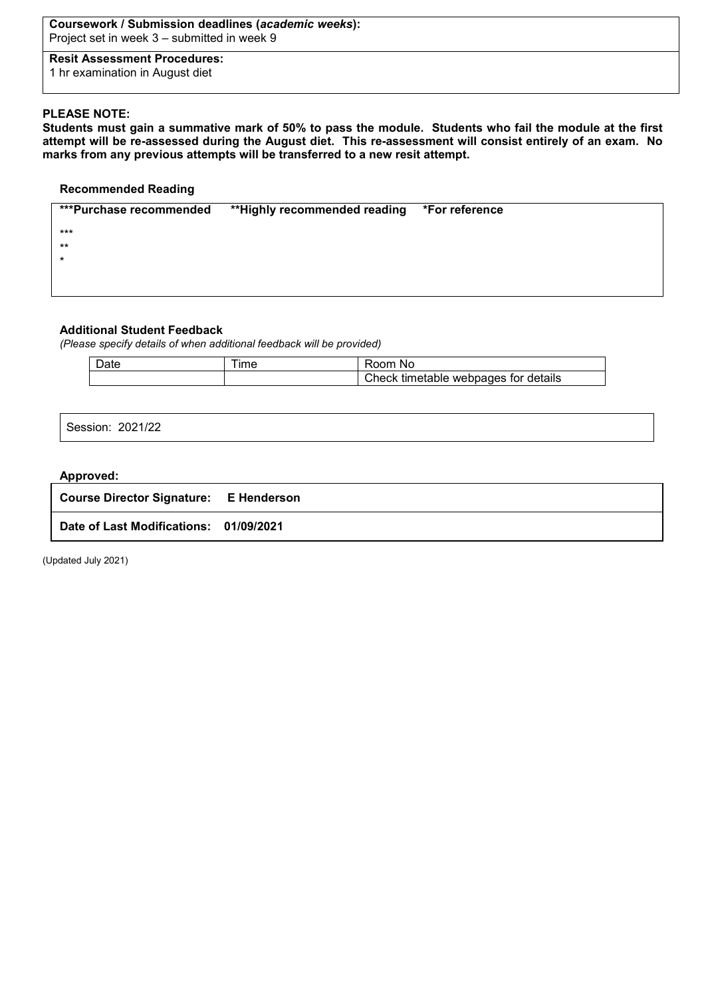#### **Coursework / Submission deadlines (***academic weeks***):** Project set in week 3 – submitted in week 9

**Resit Assessment Procedures:** 1 hr examination in August diet

# **PLEASE NOTE:**

**Students must gain a summative mark of 50% to pass the module. Students who fail the module at the first attempt will be re-assessed during the August diet. This re-assessment will consist entirely of an exam. No marks from any previous attempts will be transferred to a new resit attempt.**

### **Recommended Reading**

| ***Purchase recommended | **Highly recommended reading *For reference |  |
|-------------------------|---------------------------------------------|--|
| $***$                   |                                             |  |
| $**$                    |                                             |  |
| $\star$                 |                                             |  |
|                         |                                             |  |
|                         |                                             |  |
|                         |                                             |  |

# **Additional Student Feedback**

*(Please specify details of when additional feedback will be provided)*

| <b>Date</b> | <b>Ime</b> | ⊀nnm<br>.No                                               |
|-------------|------------|-----------------------------------------------------------|
|             |            | $\mathsf{Check}$ .<br>webpages for details »<br>timetable |

Session: 2021/22

#### **Approved:**

| <b>Course Director Signature: E Henderson</b> |  |
|-----------------------------------------------|--|
| Date of Last Modifications: 01/09/2021        |  |

(Updated July 2021)